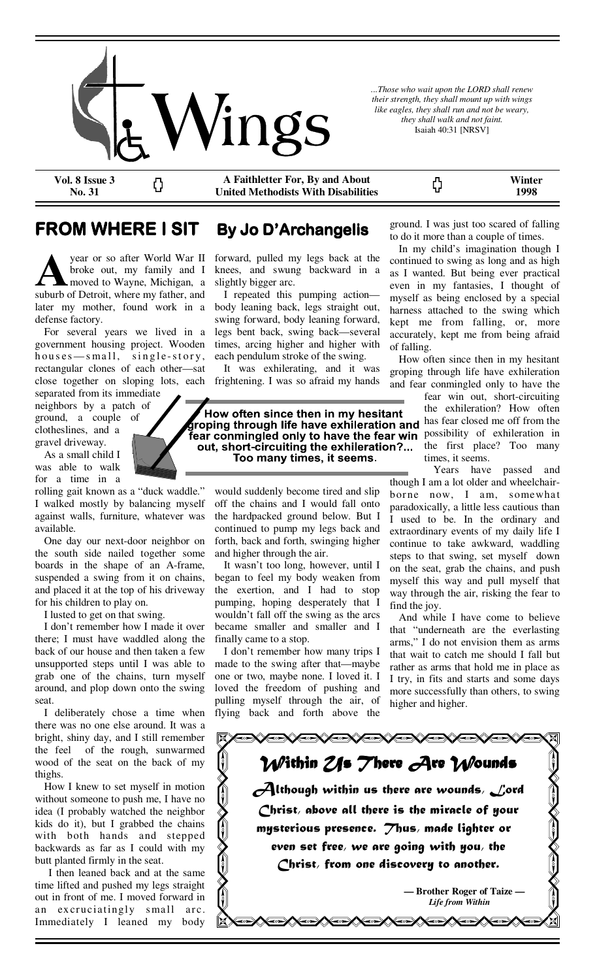

*...Those who wait upon the LORD shall renew their strength, they shall mount up with wings like eagles, they shall run and not be weary, they shall walk and not faint.*  Isaiah 40:31 [NRSV]

ς,

**Vol. 8 Issue 3 No. 31** 

**A Faithletter For, By and About United Methodists With Disabilities** 

**Winter 1998** 

## **FROM WHERE I SIT By Jo D'Archangelis**

year or so after World War II broke out, my family and I moved to Wayne, Michigan, a suburb of Detroit, where my father, and later my mother, found work in a defense factory.

Ω

 For several years we lived in a government housing project. Wooden  $houses$  - small, single-story, rectangular clones of each other—sat close together on sloping lots, each separated from its immediate

neighbors by a patch of ground, a couple of clotheslines, and a gravel driveway.

 As a small child I was able to walk for a time in a

rolling gait known as a "duck waddle." I walked mostly by balancing myself against walls, furniture, whatever was available.

 One day our next-door neighbor on the south side nailed together some boards in the shape of an A-frame, suspended a swing from it on chains, and placed it at the top of his driveway for his children to play on.

I lusted to get on that swing.

 I don't remember how I made it over there; I must have waddled along the back of our house and then taken a few unsupported steps until I was able to grab one of the chains, turn myself around, and plop down onto the swing seat.

 I deliberately chose a time when there was no one else around. It was a bright, shiny day, and I still remember the feel of the rough, sunwarmed wood of the seat on the back of my thighs.

 How I knew to set myself in motion without someone to push me, I have no idea (I probably watched the neighbor kids do it), but I grabbed the chains with both hands and stepped backwards as far as I could with my butt planted firmly in the seat.

 I then leaned back and at the same time lifted and pushed my legs straight out in front of me. I moved forward in an excruciatingly small arc. Immediately I leaned my body

forward, pulled my legs back at the knees, and swung backward in a slightly bigger arc.

 I repeated this pumping action body leaning back, legs straight out, swing forward, body leaning forward, legs bent back, swing back—several times, arcing higher and higher with each pendulum stroke of the swing.

 It was exhilerating, and it was frightening. I was so afraid my hands

How often since then in my hesitant roping through life have exhileration and has fear closed me off from the fear conmingled only to have the fear win possibility of exhileration in out, short-circuiting the exhileration?... Too many times, it seems.

would suddenly become tired and slip off the chains and I would fall onto the hardpacked ground below. But I continued to pump my legs back and forth, back and forth, swinging higher and higher through the air.

 It wasn't too long, however, until I began to feel my body weaken from the exertion, and I had to stop pumping, hoping desperately that I wouldn't fall off the swing as the arcs became smaller and smaller and I finally came to a stop.

 I don't remember how many trips I made to the swing after that—maybe one or two, maybe none. I loved it. I loved the freedom of pushing and pulling myself through the air, of flying back and forth above the

ground. I was just too scared of falling to do it more than a couple of times.

 In my child's imagination though I continued to swing as long and as high as I wanted. But being ever practical even in my fantasies, I thought of myself as being enclosed by a special harness attached to the swing which kept me from falling, or, more accurately, kept me from being afraid of falling.

 How often since then in my hesitant groping through life have exhileration and fear conmingled only to have the

> fear win out, short-circuiting the exhileration? How often the first place? Too many times, it seems.

 Years have passed and though I am a lot older and wheelchairborne now, I am, somewhat paradoxically, a little less cautious than I used to be. In the ordinary and extraordinary events of my daily life I continue to take awkward, waddling steps to that swing, set myself down on the seat, grab the chains, and push myself this way and pull myself that way through the air, risking the fear to find the joy.

 And while I have come to believe that "underneath are the everlasting arms," I do not envision them as arms that wait to catch me should I fall but rather as arms that hold me in place as I try, in fits and starts and some days more successfully than others, to swing higher and higher.

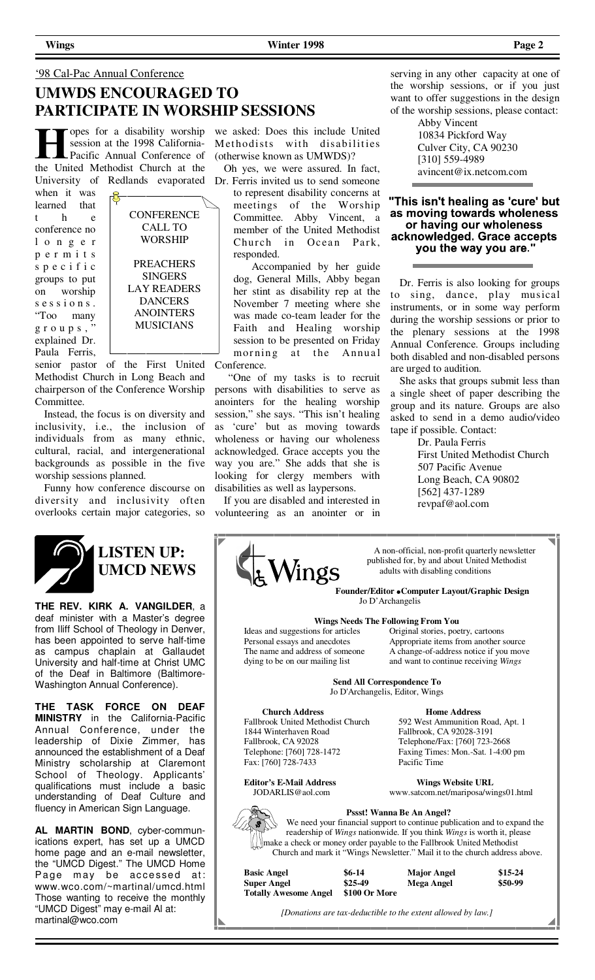## '98 Cal-Pac Annual Conference

## **UMWDS ENCOURAGED TO PARTICIPATE IN WORSHIP SESSIONS**

opes for a disability worship session at the 1998 California-Pacific Annual Conference of the United Methodist Church at the University of Redlands evaporated

when it was learned that t h e conference no l o n g e r p e r m i t s s p e c i f i c groups to put on worship s e s s i o n s . "Too many g r o u p s , " explained Dr. Paula Ferris,



senior pastor of the First United Methodist Church in Long Beach and chairperson of the Conference Worship Committee.

 Instead, the focus is on diversity and inclusivity, i.e., the inclusion of individuals from as many ethnic, cultural, racial, and intergenerational backgrounds as possible in the five worship sessions planned.

 Funny how conference discourse on diversity and inclusivity often overlooks certain major categories, so



## **LISTEN UP: UMCD NEWS**

**THE REV. KIRK A. VANGILDER**, a deaf minister with a Master's degree from Iliff School of Theology in Denver, has been appointed to serve half-time as campus chaplain at Gallaudet University and half-time at Christ UMC of the Deaf in Baltimore (Baltimore-Washington Annual Conference).

**THE TASK FORCE ON DEAF MINISTRY** in the California-Pacific Annual Conference, under the leadership of Dixie Zimmer, has announced the establishment of a Deaf Ministry scholarship at Claremont School of Theology. Applicants' qualifications must include a basic understanding of Deaf Culture and fluency in American Sign Language.

**AL MARTIN BOND**, cyber-communications expert, has set up a UMCD home page and an e-mail newsletter, the "UMCD Digest." The UMCD Home Page may be accessed at: www.wco.com/~martinal/umcd.html Those wanting to receive the monthly "UMCD Digest" may e-mail Al at: martinal@wco.com

we asked: Does this include United Methodists with disabilities (otherwise known as UMWDS)?

 Oh yes, we were assured. In fact, Dr. Ferris invited us to send someone

to represent disability concerns at meetings of the Worship Committee. Abby Vincent, a member of the United Methodist Church in Ocean Park, responded.

 Accompanied by her guide dog, General Mills, Abby began her stint as disability rep at the November 7 meeting where she was made co-team leader for the Faith and Healing worship session to be presented on Friday morning at the Annual Conference.

 "One of my tasks is to recruit persons with disabilities to serve as anointers for the healing worship session," she says. "This isn't healing as 'cure' but as moving towards wholeness or having our wholeness acknowledged. Grace accepts you the way you are." She adds that she is looking for clergy members with disabilities as well as laypersons.

 If you are disabled and interested in volunteering as an anointer or in

serving in any other capacity at one of the worship sessions, or if you just want to offer suggestions in the design of the worship sessions, please contact:

> Abby Vincent 10834 Pickford Way Culver City, CA 90230 [310] 559-4989 avincent@ix.netcom.com

## "This isn't healing as 'cure' but as moving towards wholeness or having our wholeness acknowledged. Grace accepts you the way you are.'

 Dr. Ferris is also looking for groups to sing, dance, play musical instruments, or in some way perform during the worship sessions or prior to the plenary sessions at the 1998 Annual Conference. Groups including both disabled and non-disabled persons are urged to audition.

 She asks that groups submit less than a single sheet of paper describing the group and its nature. Groups are also asked to send in a demo audio/video tape if possible. Contact:

> Dr. Paula Ferris First United Methodist Church 507 Pacific Avenue Long Beach, CA 90802 [562] 437-1289 revpaf@aol.com



 A non-official, non-profit quarterly newsletter published for, by and about United Methodist<br>adults with disabling conditions adults with disabling conditions

> **Founder/Editor Computer Layout/Graphic Design**  Jo D'Archangelis

### **Wings Needs The Following From You**

dying to be on our mailing list and want to continue receiving *Wings*

 Ideas and suggestions for articles Original stories, poetry, cartoons Personal essays and anecdotes Appropriate items from another source The name and address of someone A change-of-address notice if you move

> **Send All Correspondence To**  Jo D'Archangelis, Editor, Wings

Telephone/Fax: [760] 723-2668 Faxing Times: Mon.-Sat. 1-4:00 pm<br>Pacific Time

**Church Address Home Address**<br>Fallbrook United Methodist Church 592 West Ammunition Fallbrook United Methodist Church 592 West Ammunition Road, Apt. 1 1844 Winterhaven Road Fallbrook, CA 92028-3191 Telephone: [760] 728-1472<br>Fax: [760] 728-7433

**Editor's E-Mail Address Wings Website URL** JODARLIS@aol.com www.satcom.net/mariposa/wings01.html



 We need your financial support to continue publication and to expand the readership of *Wings* nationwide. If you think *Wings* is worth it, please **The make a check or money order payable to the Fallbrook United Methodist** Church and mark it "Wings Newsletter." Mail it to the church address above.

| <b>Basic Angel</b>           | $$6-14$       | <b>Major Angel</b> | $$15-24$ |
|------------------------------|---------------|--------------------|----------|
| <b>Super Angel</b>           | $$25-49$      | Mega Angel         | $$50-99$ |
| <b>Totally Awesome Angel</b> | \$100 Or More |                    |          |

*[Donations are tax-deductible to the extent allowed by law.]*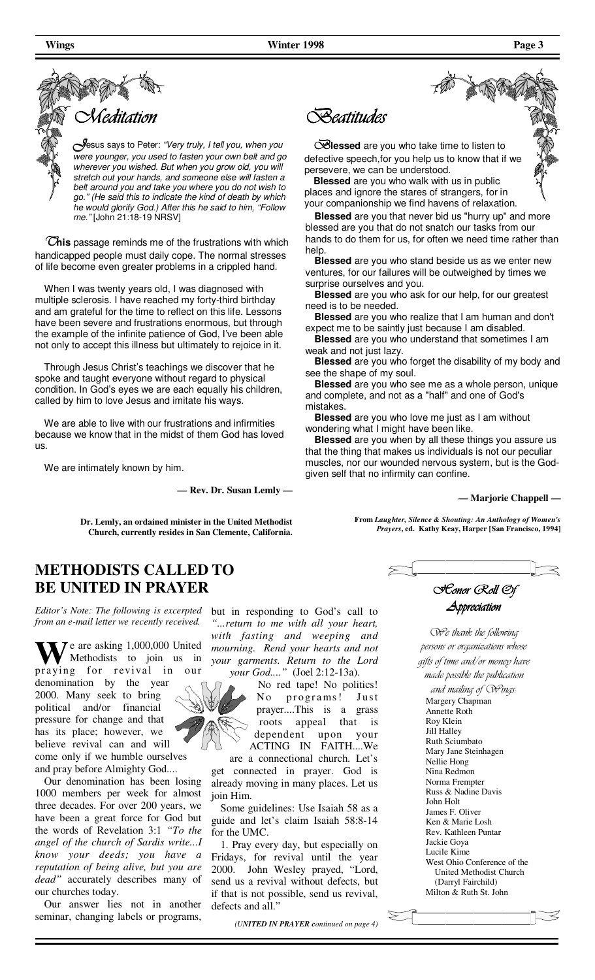

*J*esus says to Peter: "Very truly, I tell you, when you were younger, you used to fasten your own belt and go wherever you wished. But when you grow old, you will stretch out your hands, and someone else will fasten a belt around you and take you where you do not wish to go." (He said this to indicate the kind of death by which he would glorify God.) After this he said to him, "Follow me." [John 21:18-19 NRSV]

 *T***his** passage reminds me of the frustrations with which handicapped people must daily cope. The normal stresses of life become even greater problems in a crippled hand.

 When I was twenty years old, I was diagnosed with multiple sclerosis. I have reached my forty-third birthday and am grateful for the time to reflect on this life. Lessons have been severe and frustrations enormous, but through the example of the infinite patience of God, I've been able not only to accept this illness but ultimately to rejoice in it.

 Through Jesus Christ's teachings we discover that he spoke and taught everyone without regard to physical condition. In God's eyes we are each equally his children, called by him to love Jesus and imitate his ways.

 We are able to live with our frustrations and infirmities because we know that in the midst of them God has loved us.

We are intimately known by him.

**— Rev. Dr. Susan Lemly —** 

**Dr. Lemly, an ordained minister in the United Methodist Church, currently resides in San Clemente, California.**

## **METHODISTS CALLED TO BE UNITED IN PRAYER**

*Editor's Note: The following is excerpted from an e-mail letter we recently received.* 

Te are asking 1,000,000 United Methodists to join us in praying for revival in our denomination by the year 2000. Many seek to bring political and/or financial pressure for change and that has its place; however, we believe revival can and will come only if we humble ourselves and pray before Almighty God....

 Our denomination has been losing 1000 members per week for almost three decades. For over 200 years, we have been a great force for God but the words of Revelation 3:1 *"To the angel of the church of Sardis write...I know your deeds; you have a reputation of being alive, but you are dead"* accurately describes many of our churches today.

 Our answer lies not in another seminar, changing labels or programs,

but in responding to God's call to *"...return to me with all your heart, with fasting and weeping and mourning. Rend your hearts and not your garments. Return to the Lord your God...."* (Joel 2:12-13a).

 No red tape! No politics! No programs! Just prayer....This is a grass roots appeal that is dependent upon your ACTING IN FAITH....We

are a connectional church. Let's get connected in prayer. God is already moving in many places. Let us join Him.

 Some guidelines: Use Isaiah 58 as a guide and let's claim Isaiah 58:8-14 for the UMC.

 1. Pray every day, but especially on Fridays, for revival until the year 2000. John Wesley prayed, "Lord, send us a revival without defects, but if that is not possible, send us revival, defects and all."

*(UNITED IN PRAYER continued on page 4)* 

*Beatitudes* 

**Blessed** are you who take time to listen to defective speech,for you help us to know that if we persevere, we can be understood.

**Blessed** are you who walk with us in public places and ignore the stares of strangers, for in your companionship we find havens of relaxation.

**Blessed** are you that never bid us "hurry up" and more blessed are you that do not snatch our tasks from our hands to do them for us, for often we need time rather than help.

**Blessed** are you who stand beside us as we enter new ventures, for our failures will be outweighed by times we surprise ourselves and you.

**Blessed** are you who ask for our help, for our greatest need is to be needed.

**Blessed** are you who realize that I am human and don't expect me to be saintly just because I am disabled.

**Blessed** are you who understand that sometimes I am weak and not just lazy.

**Blessed** are you who forget the disability of my body and see the shape of my soul.

**Blessed** are you who see me as a whole person, unique and complete, and not as a "half" and one of God's mistakes.

**Blessed** are you who love me just as I am without wondering what I might have been like.

**Blessed** are you when by all these things you assure us that the thing that makes us individuals is not our peculiar muscles, nor our wounded nervous system, but is the Godgiven self that no infirmity can confine.

**— Marjorie Chappell —**

**From** *Laughter, Silence & Shouting: An Anthology of Women's Prayers***, ed. Kathy Keay, Harper [San Francisco, 1994]**



## *Appreciation*

*We thank the following persons or organizations whose gifts of time and/or money have* 

*made possible the publication and mailing of Wings:*  Margery Chapman Annette Roth Roy Klein Jill Halley Ruth Sciumbato Mary Jane Steinhagen Nellie Hong Nina Redmon Norma Frempter Russ & Nadine Davis John Holt James F. Oliver Ken & Marie Losh Rev. Kathleen Puntar Jackie Goya Lucile Kime West Ohio Conference of the United Methodist Church (Darryl Fairchild) Milton & Ruth St. John